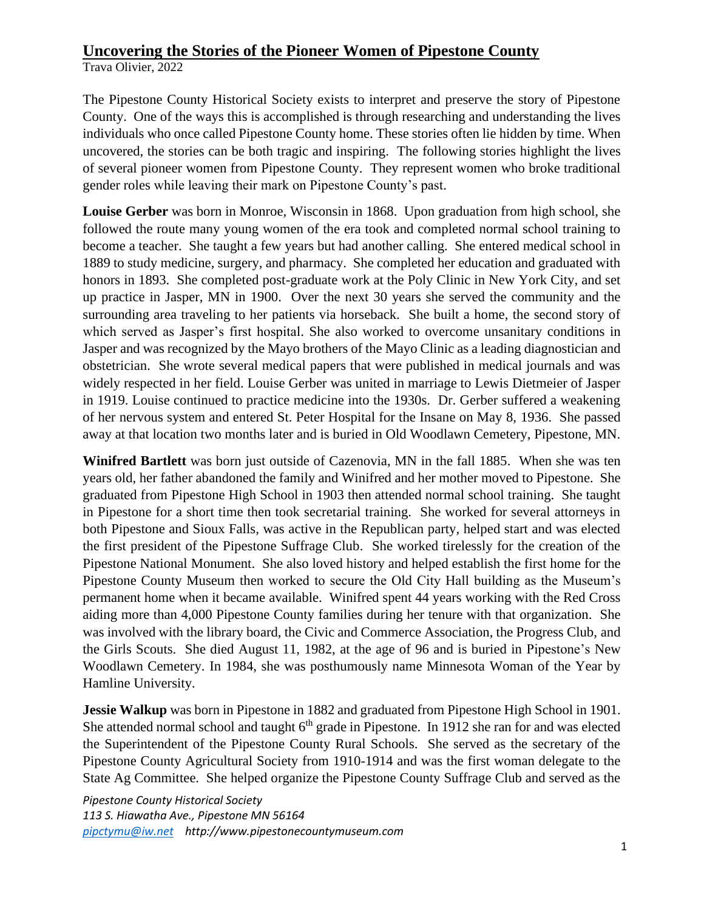Trava Olivier, 2022

The Pipestone County Historical Society exists to interpret and preserve the story of Pipestone County. One of the ways this is accomplished is through researching and understanding the lives individuals who once called Pipestone County home. These stories often lie hidden by time. When uncovered, the stories can be both tragic and inspiring. The following stories highlight the lives of several pioneer women from Pipestone County. They represent women who broke traditional gender roles while leaving their mark on Pipestone County's past.

**Louise Gerber** was born in Monroe, Wisconsin in 1868. Upon graduation from high school, she followed the route many young women of the era took and completed normal school training to become a teacher. She taught a few years but had another calling. She entered medical school in 1889 to study medicine, surgery, and pharmacy. She completed her education and graduated with honors in 1893. She completed post-graduate work at the Poly Clinic in New York City, and set up practice in Jasper, MN in 1900. Over the next 30 years she served the community and the surrounding area traveling to her patients via horseback. She built a home, the second story of which served as Jasper's first hospital. She also worked to overcome unsanitary conditions in Jasper and was recognized by the Mayo brothers of the Mayo Clinic as a leading diagnostician and obstetrician. She wrote several medical papers that were published in medical journals and was widely respected in her field. Louise Gerber was united in marriage to Lewis Dietmeier of Jasper in 1919. Louise continued to practice medicine into the 1930s. Dr. Gerber suffered a weakening of her nervous system and entered St. Peter Hospital for the Insane on May 8, 1936. She passed away at that location two months later and is buried in Old Woodlawn Cemetery, Pipestone, MN.

**Winifred Bartlett** was born just outside of Cazenovia, MN in the fall 1885. When she was ten years old, her father abandoned the family and Winifred and her mother moved to Pipestone. She graduated from Pipestone High School in 1903 then attended normal school training. She taught in Pipestone for a short time then took secretarial training. She worked for several attorneys in both Pipestone and Sioux Falls, was active in the Republican party, helped start and was elected the first president of the Pipestone Suffrage Club. She worked tirelessly for the creation of the Pipestone National Monument. She also loved history and helped establish the first home for the Pipestone County Museum then worked to secure the Old City Hall building as the Museum's permanent home when it became available. Winifred spent 44 years working with the Red Cross aiding more than 4,000 Pipestone County families during her tenure with that organization. She was involved with the library board, the Civic and Commerce Association, the Progress Club, and the Girls Scouts. She died August 11, 1982, at the age of 96 and is buried in Pipestone's New Woodlawn Cemetery. In 1984, she was posthumously name Minnesota Woman of the Year by Hamline University.

**Jessie Walkup** was born in Pipestone in 1882 and graduated from Pipestone High School in 1901. She attended normal school and taught  $6<sup>th</sup>$  grade in Pipestone. In 1912 she ran for and was elected the Superintendent of the Pipestone County Rural Schools. She served as the secretary of the Pipestone County Agricultural Society from 1910-1914 and was the first woman delegate to the State Ag Committee. She helped organize the Pipestone County Suffrage Club and served as the

*Pipestone County Historical Society 113 S. Hiawatha Ave., Pipestone MN 56164 [pipctymu@iw.net](mailto:pipctymu@iw.net) http://www.pipestonecountymuseum.com*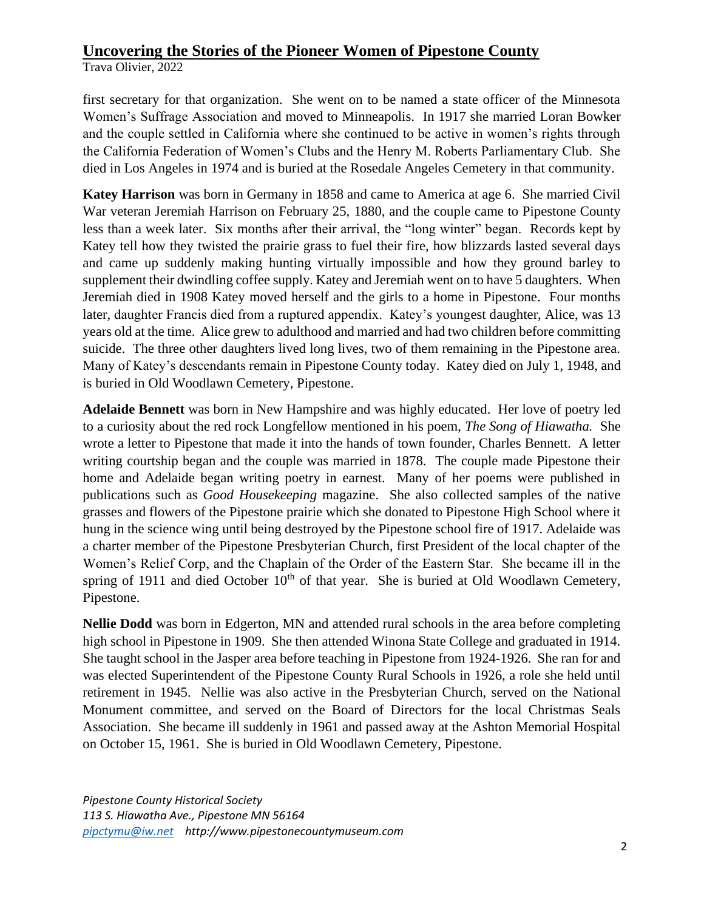Trava Olivier, 2022

first secretary for that organization. She went on to be named a state officer of the Minnesota Women's Suffrage Association and moved to Minneapolis. In 1917 she married Loran Bowker and the couple settled in California where she continued to be active in women's rights through the California Federation of Women's Clubs and the Henry M. Roberts Parliamentary Club. She died in Los Angeles in 1974 and is buried at the Rosedale Angeles Cemetery in that community.

**Katey Harrison** was born in Germany in 1858 and came to America at age 6. She married Civil War veteran Jeremiah Harrison on February 25, 1880, and the couple came to Pipestone County less than a week later. Six months after their arrival, the "long winter" began. Records kept by Katey tell how they twisted the prairie grass to fuel their fire, how blizzards lasted several days and came up suddenly making hunting virtually impossible and how they ground barley to supplement their dwindling coffee supply. Katey and Jeremiah went on to have 5 daughters. When Jeremiah died in 1908 Katey moved herself and the girls to a home in Pipestone. Four months later, daughter Francis died from a ruptured appendix. Katey's youngest daughter, Alice, was 13 years old at the time. Alice grew to adulthood and married and had two children before committing suicide. The three other daughters lived long lives, two of them remaining in the Pipestone area. Many of Katey's descendants remain in Pipestone County today. Katey died on July 1, 1948, and is buried in Old Woodlawn Cemetery, Pipestone.

**Adelaide Bennett** was born in New Hampshire and was highly educated. Her love of poetry led to a curiosity about the red rock Longfellow mentioned in his poem, *The Song of Hiawatha.* She wrote a letter to Pipestone that made it into the hands of town founder, Charles Bennett. A letter writing courtship began and the couple was married in 1878. The couple made Pipestone their home and Adelaide began writing poetry in earnest. Many of her poems were published in publications such as *Good Housekeeping* magazine. She also collected samples of the native grasses and flowers of the Pipestone prairie which she donated to Pipestone High School where it hung in the science wing until being destroyed by the Pipestone school fire of 1917. Adelaide was a charter member of the Pipestone Presbyterian Church, first President of the local chapter of the Women's Relief Corp, and the Chaplain of the Order of the Eastern Star. She became ill in the spring of 1911 and died October  $10<sup>th</sup>$  of that year. She is buried at Old Woodlawn Cemetery, Pipestone.

**Nellie Dodd** was born in Edgerton, MN and attended rural schools in the area before completing high school in Pipestone in 1909. She then attended Winona State College and graduated in 1914. She taught school in the Jasper area before teaching in Pipestone from 1924-1926. She ran for and was elected Superintendent of the Pipestone County Rural Schools in 1926, a role she held until retirement in 1945. Nellie was also active in the Presbyterian Church, served on the National Monument committee, and served on the Board of Directors for the local Christmas Seals Association. She became ill suddenly in 1961 and passed away at the Ashton Memorial Hospital on October 15, 1961. She is buried in Old Woodlawn Cemetery, Pipestone.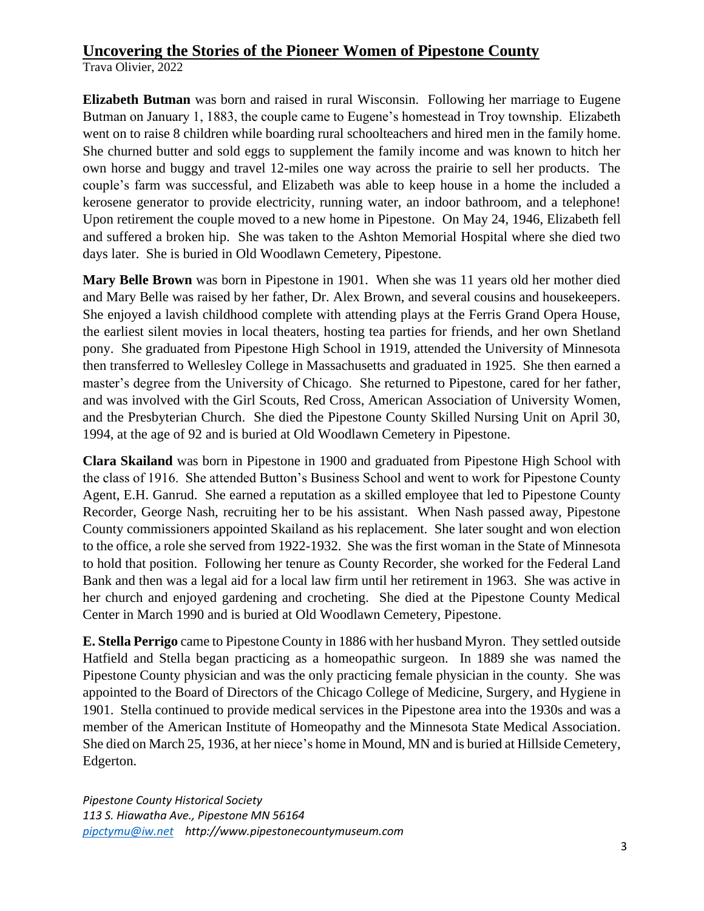Trava Olivier, 2022

**Elizabeth Butman** was born and raised in rural Wisconsin. Following her marriage to Eugene Butman on January 1, 1883, the couple came to Eugene's homestead in Troy township. Elizabeth went on to raise 8 children while boarding rural schoolteachers and hired men in the family home. She churned butter and sold eggs to supplement the family income and was known to hitch her own horse and buggy and travel 12-miles one way across the prairie to sell her products. The couple's farm was successful, and Elizabeth was able to keep house in a home the included a kerosene generator to provide electricity, running water, an indoor bathroom, and a telephone! Upon retirement the couple moved to a new home in Pipestone. On May 24, 1946, Elizabeth fell and suffered a broken hip. She was taken to the Ashton Memorial Hospital where she died two days later. She is buried in Old Woodlawn Cemetery, Pipestone.

**Mary Belle Brown** was born in Pipestone in 1901. When she was 11 years old her mother died and Mary Belle was raised by her father, Dr. Alex Brown, and several cousins and housekeepers. She enjoyed a lavish childhood complete with attending plays at the Ferris Grand Opera House, the earliest silent movies in local theaters, hosting tea parties for friends, and her own Shetland pony. She graduated from Pipestone High School in 1919, attended the University of Minnesota then transferred to Wellesley College in Massachusetts and graduated in 1925. She then earned a master's degree from the University of Chicago. She returned to Pipestone, cared for her father, and was involved with the Girl Scouts, Red Cross, American Association of University Women, and the Presbyterian Church. She died the Pipestone County Skilled Nursing Unit on April 30, 1994, at the age of 92 and is buried at Old Woodlawn Cemetery in Pipestone.

**Clara Skailand** was born in Pipestone in 1900 and graduated from Pipestone High School with the class of 1916. She attended Button's Business School and went to work for Pipestone County Agent, E.H. Ganrud. She earned a reputation as a skilled employee that led to Pipestone County Recorder, George Nash, recruiting her to be his assistant. When Nash passed away, Pipestone County commissioners appointed Skailand as his replacement. She later sought and won election to the office, a role she served from 1922-1932. She was the first woman in the State of Minnesota to hold that position. Following her tenure as County Recorder, she worked for the Federal Land Bank and then was a legal aid for a local law firm until her retirement in 1963. She was active in her church and enjoyed gardening and crocheting. She died at the Pipestone County Medical Center in March 1990 and is buried at Old Woodlawn Cemetery, Pipestone.

**E. Stella Perrigo** came to Pipestone County in 1886 with her husband Myron. They settled outside Hatfield and Stella began practicing as a homeopathic surgeon. In 1889 she was named the Pipestone County physician and was the only practicing female physician in the county. She was appointed to the Board of Directors of the Chicago College of Medicine, Surgery, and Hygiene in 1901. Stella continued to provide medical services in the Pipestone area into the 1930s and was a member of the American Institute of Homeopathy and the Minnesota State Medical Association. She died on March 25, 1936, at her niece's home in Mound, MN and is buried at Hillside Cemetery, Edgerton.

*Pipestone County Historical Society 113 S. Hiawatha Ave., Pipestone MN 56164 [pipctymu@iw.net](mailto:pipctymu@iw.net) http://www.pipestonecountymuseum.com*